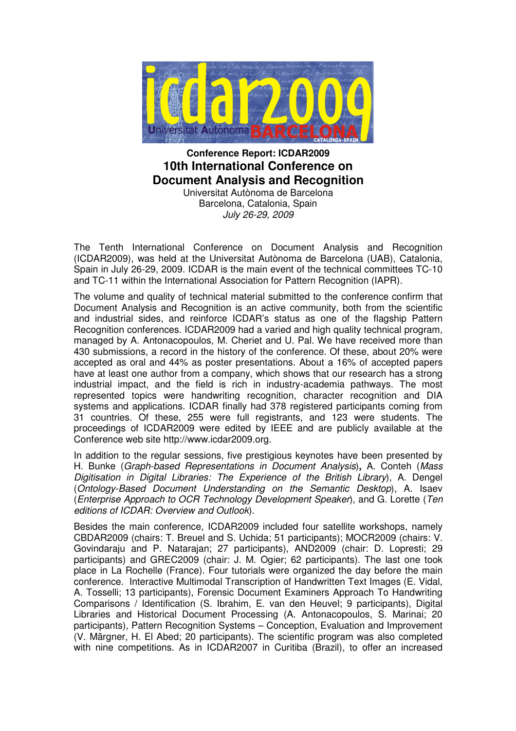

**Conference Report: ICDAR2009 10th International Conference on Document Analysis and Recognition** Universitat Autònoma de Barcelona

Barcelona, Catalonia, Spain July 26-29, 2009

The Tenth International Conference on Document Analysis and Recognition (ICDAR2009), was held at the Universitat Autònoma de Barcelona (UAB), Catalonia, Spain in July 26-29, 2009. ICDAR is the main event of the technical committees TC-10 and TC-11 within the International Association for Pattern Recognition (IAPR).

The volume and quality of technical material submitted to the conference confirm that Document Analysis and Recognition is an active community, both from the scientific and industrial sides, and reinforce ICDAR's status as one of the flagship Pattern Recognition conferences. ICDAR2009 had a varied and high quality technical program, managed by A. Antonacopoulos, M. Cheriet and U. Pal. We have received more than 430 submissions, a record in the history of the conference. Of these, about 20% were accepted as oral and 44% as poster presentations. About a 16% of accepted papers have at least one author from a company, which shows that our research has a strong industrial impact, and the field is rich in industry-academia pathways. The most represented topics were handwriting recognition, character recognition and DIA systems and applications. ICDAR finally had 378 registered participants coming from 31 countries. Of these, 255 were full registrants, and 123 were students. The proceedings of ICDAR2009 were edited by IEEE and are publicly available at the Conference web site http://www.icdar2009.org.

In addition to the regular sessions, five prestigious keynotes have been presented by H. Bunke (Graph-based Representations in Document Analysis)**,** A. Conteh (Mass Digitisation in Digital Libraries: The Experience of the British Library), A. Dengel (Ontology-Based Document Understanding on the Semantic Desktop), A. Isaev (Enterprise Approach to OCR Technology Development Speaker), and G. Lorette (Ten editions of ICDAR: Overview and Outlook).

Besides the main conference, ICDAR2009 included four satellite workshops, namely CBDAR2009 (chairs: T. Breuel and S. Uchida; 51 participants); MOCR2009 (chairs: V. Govindaraju and P. Natarajan; 27 participants), AND2009 (chair: D. Lopresti; 29 participants) and GREC2009 (chair: J. M. Ogier; 62 participants). The last one took place in La Rochelle (France). Four tutorials were organized the day before the main conference. Interactive Multimodal Transcription of Handwritten Text Images (E. Vidal, A. Tosselli; 13 participants), Forensic Document Examiners Approach To Handwriting Comparisons / Identification (S. Ibrahim, E. van den Heuvel; 9 participants), Digital Libraries and Historical Document Processing (A. Antonacopoulos, S. Marinai; 20 participants), Pattern Recognition Systems – Conception, Evaluation and Improvement (V. Märgner, H. El Abed; 20 participants). The scientific program was also completed with nine competitions. As in ICDAR2007 in Curitiba (Brazil), to offer an increased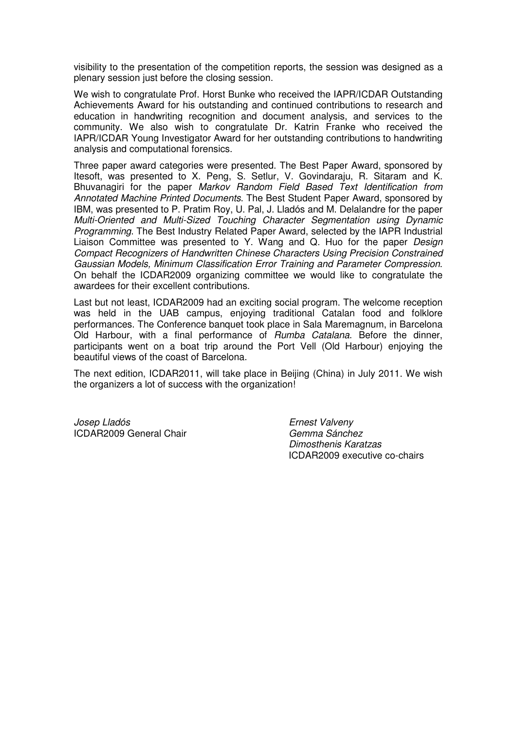visibility to the presentation of the competition reports, the session was designed as a plenary session just before the closing session.

We wish to congratulate Prof. Horst Bunke who received the IAPR/ICDAR Outstanding Achievements Award for his outstanding and continued contributions to research and education in handwriting recognition and document analysis, and services to the community. We also wish to congratulate Dr. Katrin Franke who received the IAPR/ICDAR Young Investigator Award for her outstanding contributions to handwriting analysis and computational forensics.

Three paper award categories were presented. The Best Paper Award, sponsored by Itesoft, was presented to X. Peng, S. Setlur, V. Govindaraju, R. Sitaram and K. Bhuvanagiri for the paper Markov Random Field Based Text Identification from Annotated Machine Printed Documents. The Best Student Paper Award, sponsored by IBM, was presented to P. Pratim Roy, U. Pal, J. Lladós and M. Delalandre for the paper Multi-Oriented and Multi-Sized Touching Character Segmentation using Dynamic Programming. The Best Industry Related Paper Award, selected by the IAPR Industrial Liaison Committee was presented to Y. Wang and Q. Huo for the paper Design Compact Recognizers of Handwritten Chinese Characters Using Precision Constrained Gaussian Models, Minimum Classification Error Training and Parameter Compression. On behalf the ICDAR2009 organizing committee we would like to congratulate the awardees for their excellent contributions.

Last but not least, ICDAR2009 had an exciting social program. The welcome reception was held in the UAB campus, enjoying traditional Catalan food and folklore performances. The Conference banquet took place in Sala Maremagnum, in Barcelona Old Harbour, with a final performance of Rumba Catalana. Before the dinner, participants went on a boat trip around the Port Vell (Old Harbour) enjoying the beautiful views of the coast of Barcelona.

The next edition, ICDAR2011, will take place in Beijing (China) in July 2011. We wish the organizers a lot of success with the organization!

Josep Lladós<br>ICDAR2009 General Chair **III como como como como contra el esta** Gemma Sánchez ICDAR2009 General Chair

 Dimosthenis Karatzas ICDAR2009 executive co-chairs